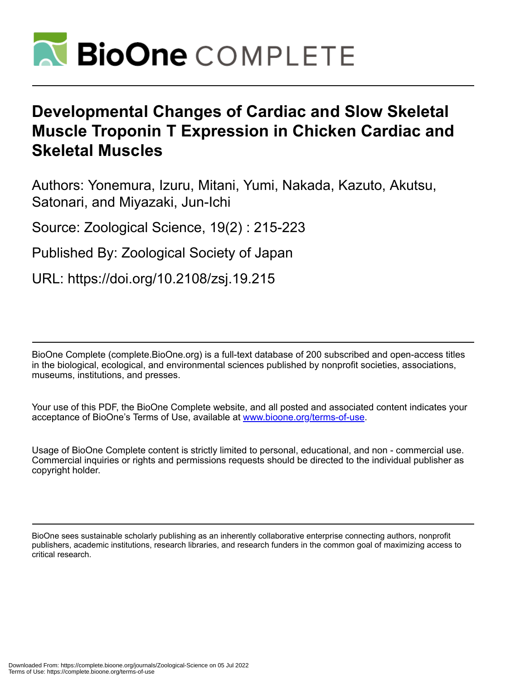

# **Developmental Changes of Cardiac and Slow Skeletal Muscle Troponin T Expression in Chicken Cardiac and Skeletal Muscles**

Authors: Yonemura, Izuru, Mitani, Yumi, Nakada, Kazuto, Akutsu, Satonari, and Miyazaki, Jun-Ichi

Source: Zoological Science, 19(2) : 215-223

Published By: Zoological Society of Japan

URL: https://doi.org/10.2108/zsj.19.215

BioOne Complete (complete.BioOne.org) is a full-text database of 200 subscribed and open-access titles in the biological, ecological, and environmental sciences published by nonprofit societies, associations, museums, institutions, and presses.

Your use of this PDF, the BioOne Complete website, and all posted and associated content indicates your acceptance of BioOne's Terms of Use, available at www.bioone.org/terms-of-use.

Usage of BioOne Complete content is strictly limited to personal, educational, and non - commercial use. Commercial inquiries or rights and permissions requests should be directed to the individual publisher as copyright holder.

BioOne sees sustainable scholarly publishing as an inherently collaborative enterprise connecting authors, nonprofit publishers, academic institutions, research libraries, and research funders in the common goal of maximizing access to critical research.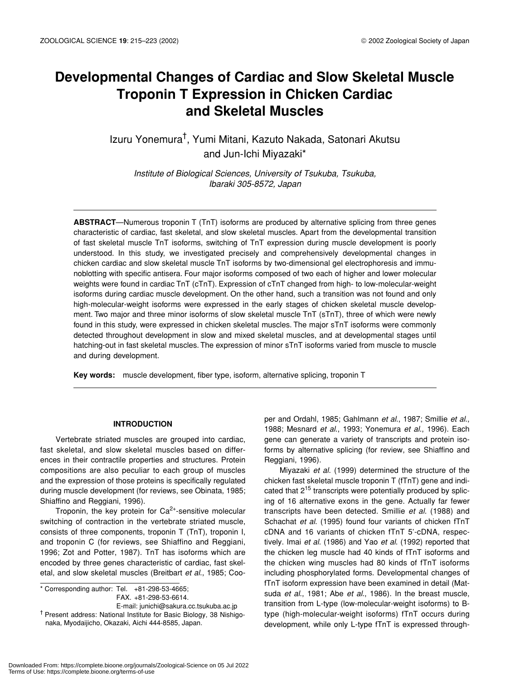# **Developmental Changes of Cardiac and Slow Skeletal Muscle Troponin T Expression in Chicken Cardiac and Skeletal Muscles**

Izuru Yonemura<sup>†</sup>, Yumi Mitani, Kazuto Nakada, Satonari Akutsu and Jun-Ichi Miyazaki\*

*Institute of Biological Sciences, University of Tsukuba, Tsukuba, Ibaraki 305-8572, Japan*

**ABSTRACT**—Numerous troponin T (TnT) isoforms are produced by alternative splicing from three genes characteristic of cardiac, fast skeletal, and slow skeletal muscles. Apart from the developmental transition of fast skeletal muscle TnT isoforms, switching of TnT expression during muscle development is poorly understood. In this study, we investigated precisely and comprehensively developmental changes in chicken cardiac and slow skeletal muscle TnT isoforms by two-dimensional gel electrophoresis and immunoblotting with specific antisera. Four major isoforms composed of two each of higher and lower molecular weights were found in cardiac TnT (cTnT). Expression of cTnT changed from high- to low-molecular-weight isoforms during cardiac muscle development. On the other hand, such a transition was not found and only high-molecular-weight isoforms were expressed in the early stages of chicken skeletal muscle development. Two major and three minor isoforms of slow skeletal muscle TnT (sTnT), three of which were newly found in this study, were expressed in chicken skeletal muscles. The major sTnT isoforms were commonly detected throughout development in slow and mixed skeletal muscles, and at developmental stages until hatching-out in fast skeletal muscles. The expression of minor sTnT isoforms varied from muscle to muscle and during development.

**Key words:** muscle development, fiber type, isoform, alternative splicing, troponin T

### **INTRODUCTION**

Vertebrate striated muscles are grouped into cardiac, fast skeletal, and slow skeletal muscles based on differences in their contractile properties and structures. Protein compositions are also peculiar to each group of muscles and the expression of those proteins is specifically regulated during muscle development (for reviews, see Obinata, 1985; Shiaffino and Reggiani, 1996).

Troponin, the key protein for  $Ca^{2+}$ -sensitive molecular switching of contraction in the vertebrate striated muscle, consists of three components, troponin T (TnT), troponin I, and troponin C (for reviews, see Shiaffino and Reggiani, 1996; Zot and Potter, 1987). TnT has isoforms which are encoded by three genes characteristic of cardiac, fast skeletal, and slow skeletal muscles (Breitbart *et al*., 1985; Coo-

\* Corresponding author: Tel. +81-298-53-4665; FAX. +81-298-53-6614.

E-mail: junichi@sakura.cc.tsukuba.ac.jp † Present address: National Institute for Basic Biology, 38 Nishigonaka, Myodaijicho, Okazaki, Aichi 444-8585, Japan.

per and Ordahl, 1985; Gahlmann *et al*., 1987; Smillie *et al*., 1988; Mesnard *et al*., 1993; Yonemura *et al*., 1996). Each gene can generate a variety of transcripts and protein isoforms by alternative splicing (for review, see Shiaffino and Reggiani, 1996).

Miyazaki *et al*. (1999) determined the structure of the chicken fast skeletal muscle troponin T (fTnT) gene and indicated that  $2^{15}$  transcripts were potentially produced by splicing of 16 alternative exons in the gene. Actually far fewer transcripts have been detected. Smillie *et al*. (1988) and Schachat *et al*. (1995) found four variants of chicken fTnT cDNA and 16 variants of chicken fTnT 5'-cDNA, respectively. Imai *et al*. (1986) and Yao *et al*. (1992) reported that the chicken leg muscle had 40 kinds of fTnT isoforms and the chicken wing muscles had 80 kinds of fTnT isoforms including phosphorylated forms. Developmental changes of fTnT isoform expression have been examined in detail (Matsuda *et al*., 1981; Abe *et al*., 1986). In the breast muscle, transition from L-type (low-molecular-weight isoforms) to Btype (high-molecular-weight isoforms) fTnT occurs during development, while only L-type fTnT is expressed through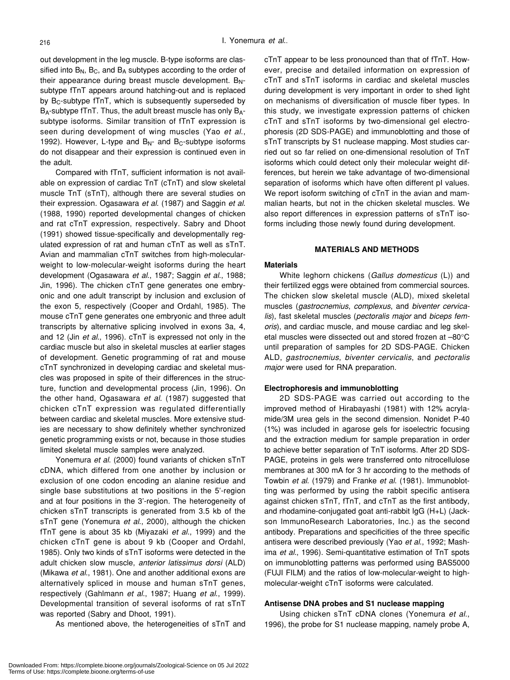out development in the leg muscle. B-type isoforms are classified into  $B_N$ ,  $B_C$ , and  $B_A$  subtypes according to the order of their appearance during breast muscle development.  $B_N$ subtype fTnT appears around hatching-out and is replaced by  $B_C$ -subtype fTnT, which is subsequently superseded by B<sub>A</sub>-subtype fTnT. Thus, the adult breast muscle has only B<sub>A</sub>subtype isoforms. Similar transition of fTnT expression is seen during development of wing muscles (Yao *et al*., 1992). However, L-type and  $B_{N}$ - and  $B_{C}$ -subtype isoforms do not disappear and their expression is continued even in the adult.

Compared with fTnT, sufficient information is not available on expression of cardiac TnT (cTnT) and slow skeletal muscle TnT (sTnT), although there are several studies on their expression. Ogasawara *et al*. (1987) and Saggin *et al*. (1988, 1990) reported developmental changes of chicken and rat cTnT expression, respectively. Sabry and Dhoot (1991) showed tissue-specifically and developmentally regulated expression of rat and human cTnT as well as sTnT. Avian and mammalian cTnT switches from high-molecularweight to low-molecular-weight isoforms during the heart development (Ogasawara *et al*., 1987; Saggin *et al*., 1988; Jin, 1996). The chicken cTnT gene generates one embryonic and one adult transcript by inclusion and exclusion of the exon 5, respectively (Cooper and Ordahl, 1985). The mouse cTnT gene generates one embryonic and three adult transcripts by alternative splicing involved in exons 3a, 4, and 12 (Jin *et al*., 1996). cTnT is expressed not only in the cardiac muscle but also in skeletal muscles at earlier stages of development. Genetic programming of rat and mouse cTnT synchronized in developing cardiac and skeletal muscles was proposed in spite of their differences in the structure, function and developmental process (Jin, 1996). On the other hand, Ogasawara *et al*. (1987) suggested that chicken cTnT expression was regulated differentially between cardiac and skeletal muscles. More extensive studies are necessary to show definitely whether synchronized genetic programming exists or not, because in those studies limited skeletal muscle samples were analyzed.

Yonemura *et al*. (2000) found variants of chicken sTnT cDNA, which differed from one another by inclusion or exclusion of one codon encoding an alanine residue and single base substitutions at two positions in the 5'-region and at four positions in the 3'-region. The heterogeneity of chicken sTnT transcripts is generated from 3.5 kb of the sTnT gene (Yonemura *et al*., 2000), although the chicken fTnT gene is about 35 kb (Miyazaki *et al*., 1999) and the chicken cTnT gene is about 9 kb (Cooper and Ordahl, 1985). Only two kinds of sTnT isoforms were detected in the adult chicken slow muscle, *anterior latissimus dorsi* (ALD) (Mikawa *et al*., 1981). One and another additional exons are alternatively spliced in mouse and human sTnT genes, respectively (Gahlmann *et al*., 1987; Huang *et al*., 1999). Developmental transition of several isoforms of rat sTnT was reported (Sabry and Dhoot, 1991).

As mentioned above, the heterogeneities of sTnT and

cTnT appear to be less pronounced than that of fTnT. However, precise and detailed information on expression of cTnT and sTnT isoforms in cardiac and skeletal muscles during development is very important in order to shed light on mechanisms of diversification of muscle fiber types. In this study, we investigate expression patterns of chicken cTnT and sTnT isoforms by two-dimensional gel electrophoresis (2D SDS-PAGE) and immunoblotting and those of sTnT transcripts by S1 nuclease mapping. Most studies carried out so far relied on one-dimensional resolution of TnT isoforms which could detect only their molecular weight differences, but herein we take advantage of two-dimensional separation of isoforms which have often different pI values. We report isoform switching of cTnT in the avian and mammalian hearts, but not in the chicken skeletal muscles. We also report differences in expression patterns of sTnT isoforms including those newly found during development.

#### **MATERIALS AND METHODS**

#### **Materials**

White leghorn chickens (*Gallus domesticus* (L)) and their fertilized eggs were obtained from commercial sources. The chicken slow skeletal muscle (ALD), mixed skeletal muscles (*gastrocnemius*, *complexus*, and *biventer cervicalis*), fast skeletal muscles (*pectoralis major* and *biceps femoris*), and cardiac muscle, and mouse cardiac and leg skeletal muscles were dissected out and stored frozen at –80°C until preparation of samples for 2D SDS-PAGE. Chicken ALD, *gastrocnemius*, *biventer cervicalis*, and *pectoralis major* were used for RNA preparation.

### **Electrophoresis and immunoblotting**

2D SDS-PAGE was carried out according to the improved method of Hirabayashi (1981) with 12% acrylamide/3M urea gels in the second dimension. Nonidet P-40 (1%) was included in agarose gels for isoelectric focusing and the extraction medium for sample preparation in order to achieve better separation of TnT isoforms. After 2D SDS-PAGE, proteins in gels were transferred onto nitrocellulose membranes at 300 mA for 3 hr according to the methods of Towbin *et al*. (1979) and Franke *et al*. (1981). Immunoblotting was performed by using the rabbit specific antisera against chicken sTnT, fTnT, and cTnT as the first antibody, and rhodamine-conjugated goat anti-rabbit IgG (H+L) (Jackson ImmunoResearch Laboratories, Inc.) as the second antibody. Preparations and specificities of the three specific antisera were described previously (Yao *et al*., 1992; Mashima *et al*., 1996). Semi-quantitative estimation of TnT spots on immunoblotting patterns was performed using BAS5000 (FUJI FILM) and the ratios of low-molecular-weight to highmolecular-weight cTnT isoforms were calculated.

### **Antisense DNA probes and S1 nuclease mapping**

Using chicken sTnT cDNA clones (Yonemura *et al*., 1996), the probe for S1 nuclease mapping, namely probe A,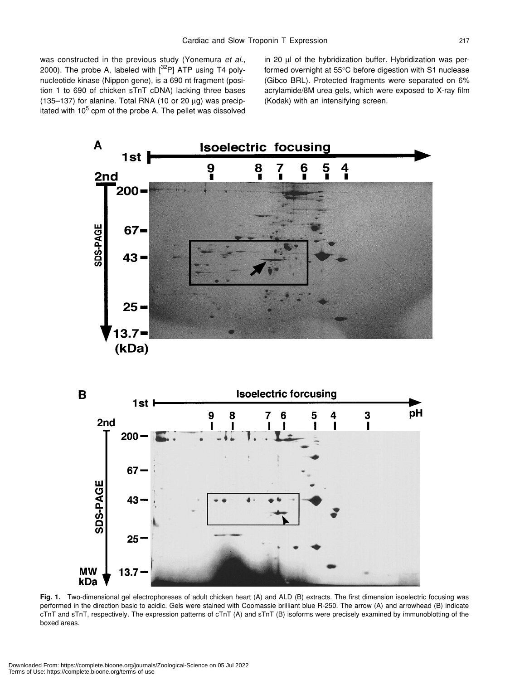was constructed in the previous study (Yonemura *et al*., 2000). The probe A, labeled with  $[3^2P]$  ATP using T4 polynucleotide kinase (Nippon gene), is a 690 nt fragment (position 1 to 690 of chicken sTnT cDNA) lacking three bases (135–137) for alanine. Total RNA (10 or 20  $\mu$ g) was precipitated with 10<sup>5</sup> cpm of the probe A. The pellet was dissolved in 20 µl of the hybridization buffer. Hybridization was performed overnight at 55°C before digestion with S1 nuclease (Gibco BRL). Protected fragments were separated on 6% acrylamide/8M urea gels, which were exposed to X-ray film (Kodak) with an intensifying screen.





**Fig. 1.** Two-dimensional gel electrophoreses of adult chicken heart (A) and ALD (B) extracts. The first dimension isoelectric focusing was performed in the direction basic to acidic. Gels were stained with Coomassie brilliant blue R-250. The arrow (A) and arrowhead (B) indicate cTnT and sTnT, respectively. The expression patterns of cTnT (A) and sTnT (B) isoforms were precisely examined by immunoblotting of the boxed areas.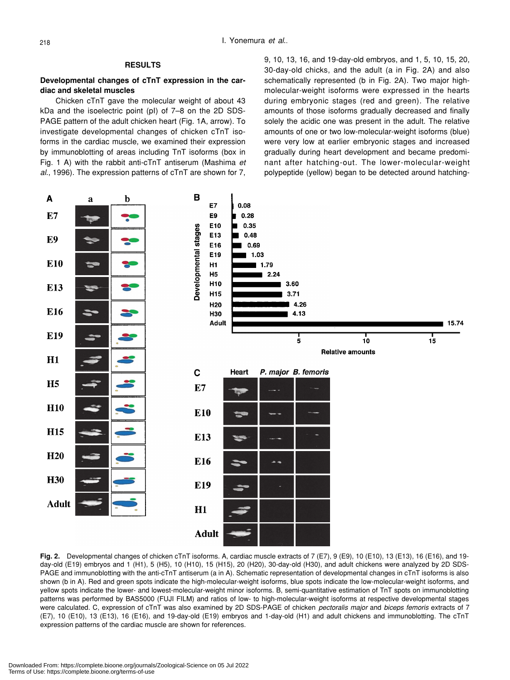# **RESULTS**

## **Developmental changes of cTnT expression in the cardiac and skeletal muscles**

Chicken cTnT gave the molecular weight of about 43 kDa and the isoelectric point (pI) of 7–8 on the 2D SDS-PAGE pattern of the adult chicken heart (Fig. 1A, arrow). To investigate developmental changes of chicken cTnT isoforms in the cardiac muscle, we examined their expression by immunoblotting of areas including TnT isoforms (box in Fig. 1 A) with the rabbit anti-cTnT antiserum (Mashima *et al*., 1996). The expression patterns of cTnT are shown for 7,

9, 10, 13, 16, and 19-day-old embryos, and 1, 5, 10, 15, 20, 30-day-old chicks, and the adult (a in Fig. 2A) and also schematically represented (b in Fig. 2A). Two major highmolecular-weight isoforms were expressed in the hearts during embryonic stages (red and green). The relative amounts of those isoforms gradually decreased and finally solely the acidic one was present in the adult. The relative amounts of one or two low-molecular-weight isoforms (blue) were very low at earlier embryonic stages and increased gradually during heart development and became predominant after hatching-out. The lower-molecular-weight polypeptide (yellow) began to be detected around hatching-



Fig. 2. Developmental changes of chicken cTnT isoforms. A, cardiac muscle extracts of 7 (E7), 9 (E9), 10 (E10), 13 (E13), 16 (E16), and 19day-old (E19) embryos and 1 (H1), 5 (H5), 10 (H10), 15 (H15), 20 (H20), 30-day-old (H30), and adult chickens were analyzed by 2D SDS-PAGE and immunoblotting with the anti-cTnT antiserum (a in A). Schematic representation of developmental changes in cTnT isoforms is also shown (b in A). Red and green spots indicate the high-molecular-weight isoforms, blue spots indicate the low-molecular-weight isoforms, and yellow spots indicate the lower- and lowest-molecular-weight minor isoforms. B, semi-quantitative estimation of TnT spots on immunoblotting patterns was performed by BAS5000 (FUJI FILM) and ratios of low- to high-molecular-weight isoforms at respective developmental stages were calculated. C, expression of cTnT was also examined by 2D SDS-PAGE of chicken *pectoralis major* and *biceps femoris* extracts of 7 (E7), 10 (E10), 13 (E13), 16 (E16), and 19-day-old (E19) embryos and 1-day-old (H1) and adult chickens and immunoblotting. The cTnT expression patterns of the cardiac muscle are shown for references.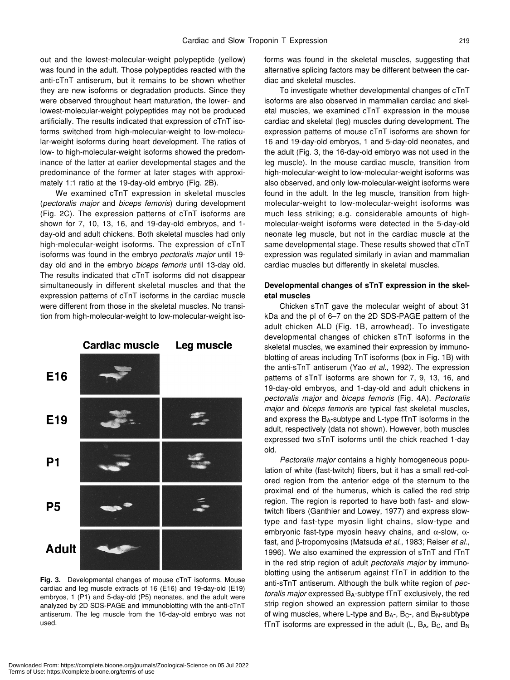out and the lowest-molecular-weight polypeptide (yellow) was found in the adult. Those polypeptides reacted with the anti-cTnT antiserum, but it remains to be shown whether they are new isoforms or degradation products. Since they were observed throughout heart maturation, the lower- and lowest-molecular-weight polypeptides may not be produced artificially. The results indicated that expression of cTnT isoforms switched from high-molecular-weight to low-molecular-weight isoforms during heart development. The ratios of low- to high-molecular-weight isoforms showed the predominance of the latter at earlier developmental stages and the predominance of the former at later stages with approximately 1:1 ratio at the 19-day-old embryo (Fig. 2B).

We examined cTnT expression in skeletal muscles (*pectoralis major* and *biceps femoris*) during development (Fig. 2C). The expression patterns of cTnT isoforms are shown for 7, 10, 13, 16, and 19-day-old embryos, and 1 day-old and adult chickens. Both skeletal muscles had only high-molecular-weight isoforms. The expression of cTnT isoforms was found in the embryo *pectoralis major* until 19 day old and in the embryo *biceps femoris* until 13-day old. The results indicated that cTnT isoforms did not disappear simultaneously in different skeletal muscles and that the expression patterns of cTnT isoforms in the cardiac muscle were different from those in the skeletal muscles. No transition from high-molecular-weight to low-molecular-weight iso-



**Fig. 3.** Developmental changes of mouse cTnT isoforms. Mouse cardiac and leg muscle extracts of 16 (E16) and 19-day-old (E19) embryos, 1 (P1) and 5-day-old (P5) neonates, and the adult were analyzed by 2D SDS-PAGE and immunoblotting with the anti-cTnT antiserum. The leg muscle from the 16-day-old embryo was not used.

forms was found in the skeletal muscles, suggesting that alternative splicing factors may be different between the cardiac and skeletal muscles.

To investigate whether developmental changes of cTnT isoforms are also observed in mammalian cardiac and skeletal muscles, we examined cTnT expression in the mouse cardiac and skeletal (leg) muscles during development. The expression patterns of mouse cTnT isoforms are shown for 16 and 19-day-old embryos, 1 and 5-day-old neonates, and the adult (Fig. 3, the 16-day-old embryo was not used in the leg muscle). In the mouse cardiac muscle, transition from high-molecular-weight to low-molecular-weight isoforms was also observed, and only low-molecular-weight isoforms were found in the adult. In the leg muscle, transition from highmolecular-weight to low-molecular-weight isoforms was much less striking; e.g. considerable amounts of highmolecular-weight isoforms were detected in the 5-day-old neonate leg muscle, but not in the cardiac muscle at the same developmental stage. These results showed that cTnT expression was regulated similarly in avian and mammalian cardiac muscles but differently in skeletal muscles.

# **Developmental changes of sTnT expression in the skeletal muscles**

Chicken sTnT gave the molecular weight of about 31 kDa and the pI of 6–7 on the 2D SDS-PAGE pattern of the adult chicken ALD (Fig. 1B, arrowhead). To investigate developmental changes of chicken sTnT isoforms in the skeletal muscles, we examined their expression by immunoblotting of areas including TnT isoforms (box in Fig. 1B) with the anti-sTnT antiserum (Yao *et al*., 1992). The expression patterns of sTnT isoforms are shown for 7, 9, 13, 16, and 19-day-old embryos, and 1-day-old and adult chickens in *pectoralis major* and *biceps femoris* (Fig. 4A). *Pectoralis major* and *biceps femoris* are typical fast skeletal muscles, and express the BA-subtype and L-type fTnT isoforms in the adult, respectively (data not shown). However, both muscles expressed two sTnT isoforms until the chick reached 1-day old.

*Pectoralis major* contains a highly homogeneous population of white (fast-twitch) fibers, but it has a small red-colored region from the anterior edge of the sternum to the proximal end of the humerus, which is called the red strip region. The region is reported to have both fast- and slowtwitch fibers (Ganthier and Lowey, 1977) and express slowtype and fast-type myosin light chains, slow-type and embryonic fast-type myosin heavy chains, and  $\alpha$ -slow,  $\alpha$ fast, and β-tropomyosins (Matsuda *et al*., 1983; Reiser *et al*., 1996). We also examined the expression of sTnT and fTnT in the red strip region of adult *pectoralis major* by immunoblotting using the antiserum against fTnT in addition to the anti-sTnT antiserum. Although the bulk white region of *pectoralis major* expressed BA-subtype fTnT exclusively, the red strip region showed an expression pattern similar to those of wing muscles, where L-type and  $B_{A}$ -,  $B_{C}$ -, and  $B_{N}$ -subtype fTnT isoforms are expressed in the adult  $(L, B_A, B_C,$  and  $B_N$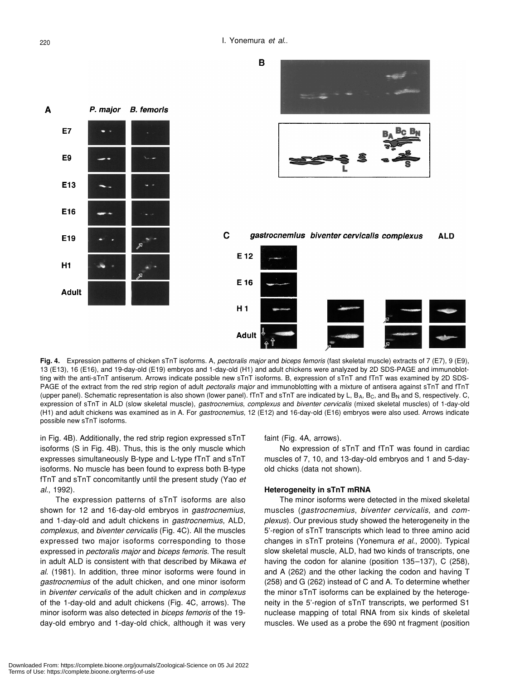

**Fig. 4.** Expression patterns of chicken sTnT isoforms. A, *pectoralis major* and *biceps femoris* (fast skeletal muscle) extracts of 7 (E7), 9 (E9), 13 (E13), 16 (E16), and 19-day-old (E19) embryos and 1-day-old (H1) and adult chickens were analyzed by 2D SDS-PAGE and immunoblotting with the anti-sTnT antiserum. Arrows indicate possible new sTnT isoforms. B, expression of sTnT and fTnT was examined by 2D SDS-PAGE of the extract from the red strip region of adult *pectoralis major* and immunoblotting with a mixture of antisera against sTnT and fTnT (upper panel). Schematic representation is also shown (lower panel). fTnT and sTnT are indicated by L, B<sub>A</sub>, B<sub>C</sub>, and B<sub>N</sub> and S, respectively. C, expression of sTnT in ALD (slow skeletal muscle), *gastrocnemius*, *complexus* and *biventer cervicalis* (mixed skeletal muscles) of 1-day-old (H1) and adult chickens was examined as in A. For *gastrocnemius*, 12 (E12) and 16-day-old (E16) embryos were also used. Arrows indicate possible new sTnT isoforms.

in Fig. 4B). Additionally, the red strip region expressed sTnT isoforms (S in Fig. 4B). Thus, this is the only muscle which expresses simultaneously B-type and L-type fTnT and sTnT isoforms. No muscle has been found to express both B-type fTnT and sTnT concomitantly until the present study (Yao *et al*., 1992).

The expression patterns of sTnT isoforms are also shown for 12 and 16-day-old embryos in *gastrocnemius*, and 1-day-old and adult chickens in *gastrocnemius*, ALD, *complexus*, and *biventer cervicalis* (Fig. 4C). All the muscles expressed two major isoforms corresponding to those expressed in *pectoralis major* and *biceps femoris*. The result in adult ALD is consistent with that described by Mikawa *et al*. (1981). In addition, three minor isoforms were found in *gastrocnemius* of the adult chicken, and one minor isoform in *biventer cervicalis* of the adult chicken and in *complexus* of the 1-day-old and adult chickens (Fig. 4C, arrows). The minor isoform was also detected in *biceps femoris* of the 19 day-old embryo and 1-day-old chick, although it was very

faint (Fig. 4A, arrows).

No expression of sTnT and fTnT was found in cardiac muscles of 7, 10, and 13-day-old embryos and 1 and 5-dayold chicks (data not shown).

### **Heterogeneity in sTnT mRNA**

The minor isoforms were detected in the mixed skeletal muscles (*gastrocnemius*, *biventer cervicalis*, and *complexus*). Our previous study showed the heterogeneity in the 5'-region of sTnT transcripts which lead to three amino acid changes in sTnT proteins (Yonemura *et al*., 2000). Typical slow skeletal muscle, ALD, had two kinds of transcripts, one having the codon for alanine (position 135–137), C (258), and A (262) and the other lacking the codon and having T (258) and G (262) instead of C and A. To determine whether the minor sTnT isoforms can be explained by the heterogeneity in the 5'-region of sTnT transcripts, we performed S1 nuclease mapping of total RNA from six kinds of skeletal muscles. We used as a probe the 690 nt fragment (position

A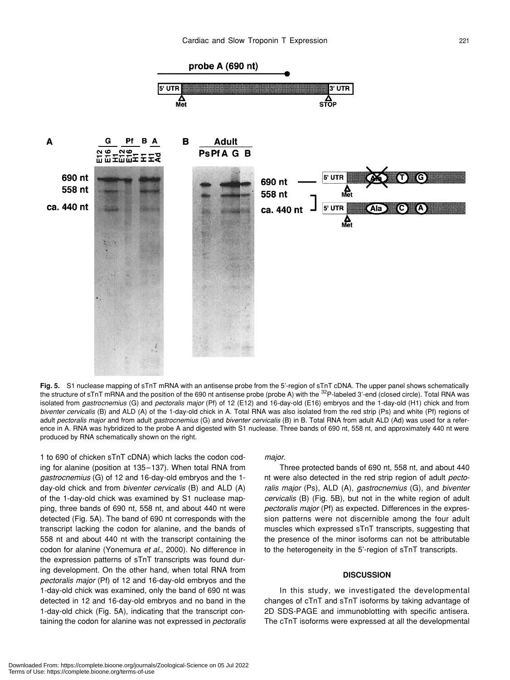

**Fig. 5.** S1 nuclease mapping of sTnT mRNA with an antisense probe from the 5'-region of sTnT cDNA. The upper panel shows schematically the structure of sTnT mRNA and the position of the 690 nt antisense probe (probe A) with the <sup>32</sup>P-labeled 3'-end (closed circle). Total RNA was isolated from *gastrocnemius* (G) and *pectoralis major* (Pf) of 12 (E12) and 16-day-old (E16) embryos and the 1-day-old (H1) chick and from *biventer cervicalis* (B) and ALD (A) of the 1-day-old chick in A. Total RNA was also isolated from the red strip (Ps) and white (Pf) regions of adult *pectoralis major* and from adult *gastrocnemius* (G) and *biventer cervicalis* (B) in B. Total RNA from adult ALD (Ad) was used for a reference in A. RNA was hybridized to the probe A and digested with S1 nuclease. Three bands of 690 nt, 558 nt, and approximately 440 nt were produced by RNA schematically shown on the right.

1 to 690 of chicken sTnT cDNA) which lacks the codon coding for alanine (position at 135–137). When total RNA from *gastrocnemius* (G) of 12 and 16-day-old embryos and the 1 day-old chick and from *biventer cervicalis* (B) and ALD (A) of the 1-day-old chick was examined by S1 nuclease mapping, three bands of 690 nt, 558 nt, and about 440 nt were detected (Fig. 5A). The band of 690 nt corresponds with the transcript lacking the codon for alanine, and the bands of 558 nt and about 440 nt with the transcript containing the codon for alanine (Yonemura *et al*., 2000). No difference in the expression patterns of sTnT transcripts was found during development. On the other hand, when total RNA from *pectoralis major* (Pf) of 12 and 16-day-old embryos and the 1-day-old chick was examined, only the band of 690 nt was detected in 12 and 16-day-old embryos and no band in the 1-day-old chick (Fig. 5A), indicating that the transcript containing the codon for alanine was not expressed in *pectoralis* *major*.

Three protected bands of 690 nt, 558 nt, and about 440 nt were also detected in the red strip region of adult *pectoralis major* (Ps), ALD (A), *gastrocnemius* (G), and *biventer cervicalis* (B) (Fig. 5B), but not in the white region of adult *pectoralis major* (Pf) as expected. Differences in the expression patterns were not discernible among the four adult muscles which expressed sTnT transcripts, suggesting that the presence of the minor isoforms can not be attributable to the heterogeneity in the 5'-region of sTnT transcripts.

#### **DISCUSSION**

In this study, we investigated the developmental changes of cTnT and sTnT isoforms by taking advantage of 2D SDS-PAGE and immunoblotting with specific antisera. The cTnT isoforms were expressed at all the developmental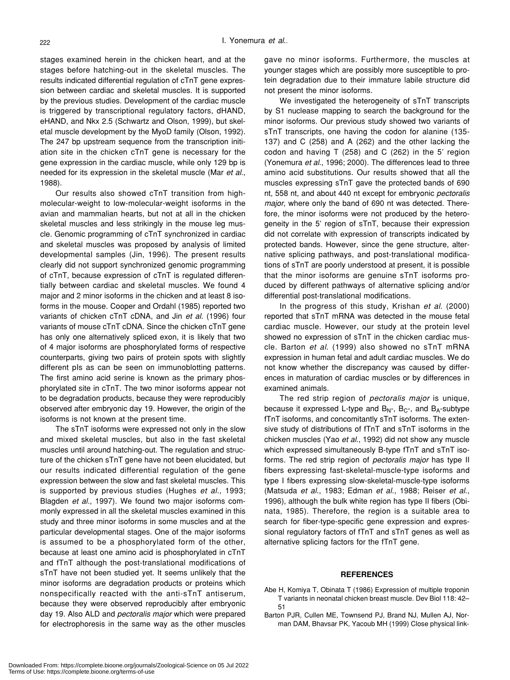stages examined herein in the chicken heart, and at the stages before hatching-out in the skeletal muscles. The results indicated differential regulation of cTnT gene expression between cardiac and skeletal muscles. It is supported by the previous studies. Development of the cardiac muscle is triggered by transcriptional regulatory factors, dHAND, eHAND, and Nkx 2.5 (Schwartz and Olson, 1999), but skeletal muscle development by the MyoD family (Olson, 1992). The 247 bp upstream sequence from the transcription initiation site in the chicken cTnT gene is necessary for the gene expression in the cardiac muscle, while only 129 bp is needed for its expression in the skeletal muscle (Mar *et al*., 1988).

Our results also showed cTnT transition from highmolecular-weight to low-molecular-weight isoforms in the avian and mammalian hearts, but not at all in the chicken skeletal muscles and less strikingly in the mouse leg muscle. Genomic programming of cTnT synchronized in cardiac and skeletal muscles was proposed by analysis of limited developmental samples (Jin, 1996). The present results clearly did not support synchronized genomic programming of cTnT, because expression of cTnT is regulated differentially between cardiac and skeletal muscles. We found 4 major and 2 minor isoforms in the chicken and at least 8 isoforms in the mouse. Cooper and Ordahl (1985) reported two variants of chicken cTnT cDNA, and Jin *et al*. (1996) four variants of mouse cTnT cDNA. Since the chicken cTnT gene has only one alternatively spliced exon, it is likely that two of 4 major isoforms are phosphorylated forms of respective counterparts, giving two pairs of protein spots with slightly different pIs as can be seen on immunoblotting patterns. The first amino acid serine is known as the primary phosphorylated site in cTnT. The two minor isoforms appear not to be degradation products, because they were reproducibly observed after embryonic day 19. However, the origin of the isoforms is not known at the present time.

The sTnT isoforms were expressed not only in the slow and mixed skeletal muscles, but also in the fast skeletal muscles until around hatching-out. The regulation and structure of the chicken sTnT gene have not been elucidated, but our results indicated differential regulation of the gene expression between the slow and fast skeletal muscles. This is supported by previous studies (Hughes *et al*., 1993; Blagden *et al*., 1997). We found two major isoforms commonly expressed in all the skeletal muscles examined in this study and three minor isoforms in some muscles and at the particular developmental stages. One of the major isoforms is assumed to be a phosphorylated form of the other, because at least one amino acid is phosphorylated in cTnT and fTnT although the post-translational modifications of sTnT have not been studied yet. It seems unlikely that the minor isoforms are degradation products or proteins which nonspecifically reacted with the anti-sTnT antiserum, because they were observed reproducibly after embryonic day 19. Also ALD and *pectoralis major* which were prepared for electrophoresis in the same way as the other muscles gave no minor isoforms. Furthermore, the muscles at younger stages which are possibly more susceptible to protein degradation due to their immature labile structure did not present the minor isoforms.

We investigated the heterogeneity of sTnT transcripts by S1 nuclease mapping to search the background for the minor isoforms. Our previous study showed two variants of sTnT transcripts, one having the codon for alanine (135- 137) and C (258) and A (262) and the other lacking the codon and having T (258) and C (262) in the 5' region (Yonemura *et al*., 1996; 2000). The differences lead to three amino acid substitutions. Our results showed that all the muscles expressing sTnT gave the protected bands of 690 nt, 558 nt, and about 440 nt except for embryonic *pectoralis major*, where only the band of 690 nt was detected. Therefore, the minor isoforms were not produced by the heterogeneity in the 5' region of sTnT, because their expression did not correlate with expression of transcripts indicated by protected bands. However, since the gene structure, alternative splicing pathways, and post-translational modifications of sTnT are poorly understood at present, it is possible that the minor isoforms are genuine sTnT isoforms produced by different pathways of alternative splicing and/or differential post-translational modifications.

In the progress of this study, Krishan *et al*. (2000) reported that sTnT mRNA was detected in the mouse fetal cardiac muscle. However, our study at the protein level showed no expression of sTnT in the chicken cardiac muscle. Barton *et al*. (1999) also showed no sTnT mRNA expression in human fetal and adult cardiac muscles. We do not know whether the discrepancy was caused by differences in maturation of cardiac muscles or by differences in examined animals.

The red strip region of *pectoralis major* is unique, because it expressed L-type and  $B_N$ -,  $B_C$ -, and  $B_A$ -subtype fTnT isoforms, and concomitantly sTnT isoforms. The extensive study of distributions of fTnT and sTnT isoforms in the chicken muscles (Yao *et al*., 1992) did not show any muscle which expressed simultaneously B-type fTnT and sTnT isoforms. The red strip region of *pectoralis major* has type II fibers expressing fast-skeletal-muscle-type isoforms and type I fibers expressing slow-skeletal-muscle-type isoforms (Matsuda *et al*., 1983; Edman *et al*., 1988; Reiser *et al*., 1996), although the bulk white region has type II fibers (Obinata, 1985). Therefore, the region is a suitable area to search for fiber-type-specific gene expression and expressional regulatory factors of fTnT and sTnT genes as well as alternative splicing factors for the fTnT gene.

#### **REFERENCES**

- Abe H, Komiya T, Obinata T (1986) Expression of multiple troponin T variants in neonatal chicken breast muscle. Dev Biol 118: 42– 51
- Barton PJR, Cullen ME, Townsend PJ, Brand NJ, Mullen AJ, Norman DAM, Bhavsar PK, Yacoub MH (1999) Close physical link-